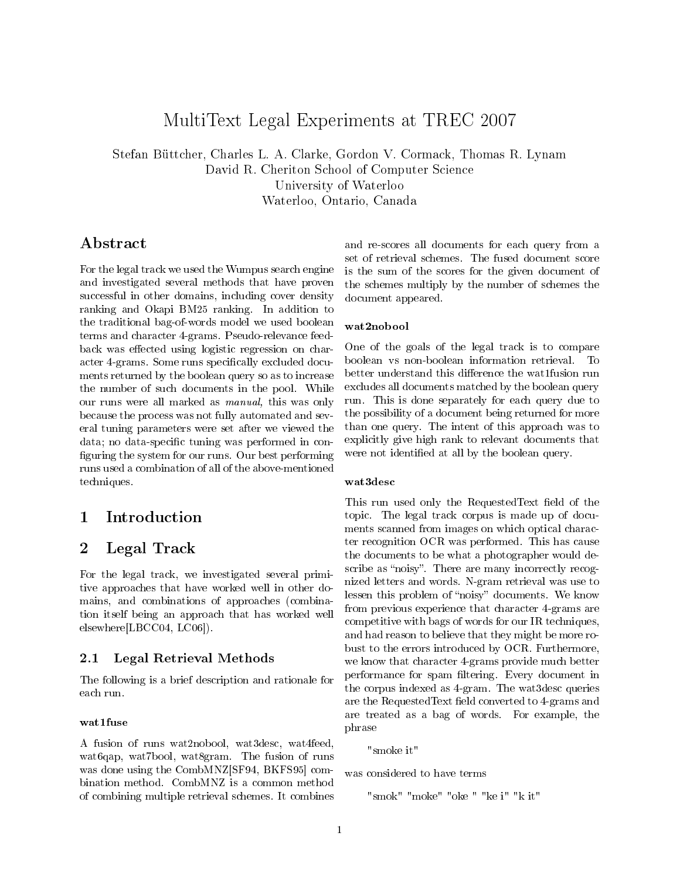# MultiText Legal Experiments at TREC 2007

Stefan Büttcher, Charles L. A. Clarke, Gordon V. Cormack, Thomas R. Lynam David R. Cheriton School of Computer Science University of Waterloo Waterloo, Ontario, Canada

# Abstract

For the legal track we used the Wumpus search engine and investigated several methods that have proven successful in other domains, including cover density ranking and Okapi BM25 ranking. In addition to the traditional bag-of-words model we used boolean terms and character 4-grams. Pseudo-relevance feedback was effected using logistic regression on character 4-grams. Some runs specifically excluded documents returned by the boolean query so as to increase the number of such documents in the pool. While our runs were all marked as manual, this was only because the process was not fully automated and several tuning parameters were set after we viewed the data; no data-specific tuning was performed in configuring the system for our runs. Our best performing runs used a combination of all of the above-mentioned techniques.

# 1 Introduction

# 2 Legal Track

For the legal track, we investigated several primitive approaches that have worked well in other domains, and combinations of approaches (combination itself being an approach that has worked well elsewhere[LBCC04, LC06]).

### 2.1 Legal Retrieval Methods

The following is a brief description and rationale for each run.

### wat1fuse

A fusion of runs wat2nobool, wat3desc, wat4feed, wat6qap, wat7bool, wat8gram. The fusion of runs was done using the CombMNZ[SF94, BKFS95] combination method. CombMNZ is a common method of combining multiple retrieval schemes. It combines and re-scores all documents for each query from a set of retrieval schemes. The fused document score is the sum of the scores for the given document of the schemes multiply by the number of schemes the document appeared.

#### wat2nobool

One of the goals of the legal track is to compare boolean vs non-boolean information retrieval. To better understand this difference the wat1fusion run excludes all documents matched by the boolean query run. This is done separately for each query due to the possibility of a document being returned for more than one query. The intent of this approach was to explicitly give high rank to relevant documents that were not identified at all by the boolean query.

#### wat3desc

This run used only the RequestedText field of the topic. The legal track corpus is made up of documents scanned from images on which optical character recognition OCR was performed. This has cause the documents to be what a photographer would describe as "noisy". There are many incorrectly recognized letters and words. N-gram retrieval was use to lessen this problem of "noisy" documents. We know from previous experience that character 4-grams are competitive with bags of words for our IR techniques, and had reason to believe that they might be more robust to the errors introduced by OCR. Furthermore, we know that character 4-grams provide much better performance for spam filtering. Every document in the corpus indexed as 4-gram. The wat3desc queries are the RequestedText field converted to 4-grams and are treated as a bag of words. For example, the phrase

"smoke it"

was considered to have terms

"smok" "moke" "oke " "ke i" "k it"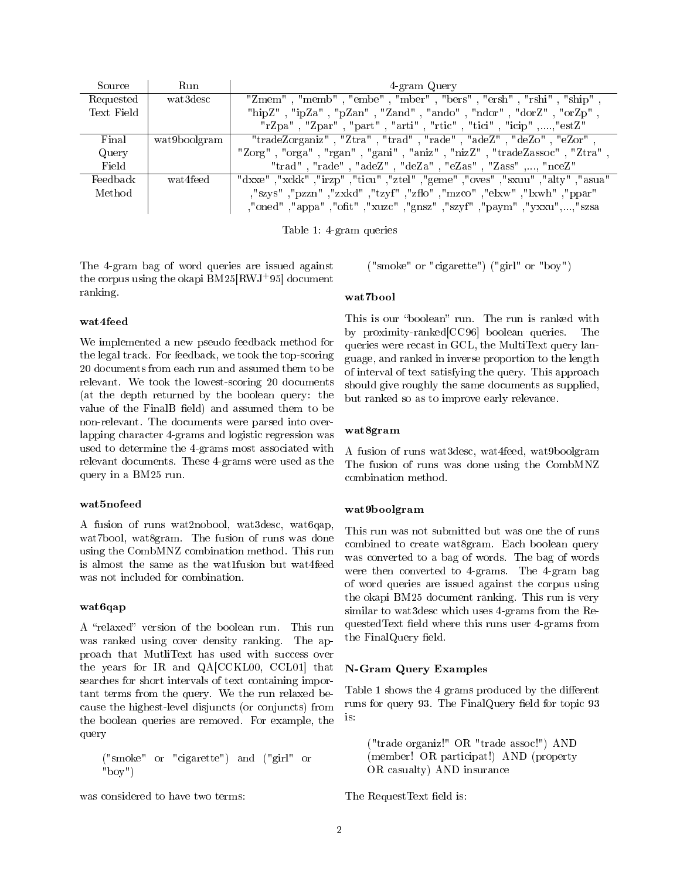| Source     | Run          | 4-gram Query                                                                   |  |  |
|------------|--------------|--------------------------------------------------------------------------------|--|--|
| Requested  | wat 3desc    | "Zmem", "memb", "embe", "mber", "bers", "ersh", "rshi", "ship",                |  |  |
| Text Field |              | "hipZ", "ipZa", "pZan", "Zand", "ando", "ndor", "dorZ", "orZp",                |  |  |
|            |              | "rZpa", "Zpar", "part", "arti", "rtic", "tici", "icip",,"estZ"                 |  |  |
| Final      | wat9boolgram | "tradeZorganiz", "Ztra", "trad", "rade", "adeZ", "deZo", "eZor",               |  |  |
| Query      |              | "Zorg", "orga", "rgan", "gani", "aniz", "nizZ", "tradeZassoc", "Ztra",         |  |  |
| Field      |              | "trad", "rade", "adeZ", "deZa", "eZas", "Zass",, "nceZ"                        |  |  |
| Feedback   | wat4feed     | "dxxe", "xckk", "irzp", "ticu", "ztel", "geme", "oves", "sxuu", "alty", "asua" |  |  |
| Method     |              | , "szys", "pzzn", "zxkd", "tzyf", "zflo", "mzco", "elxw", "lxwh", "ppar",      |  |  |
|            |              | ,"oned","appa","ofit","xuzc","gnsz","szyf","paym","yxxu",,"szsa                |  |  |

Table 1: 4-gram queries

The 4-gram bag of word queries are issued against the corpus using the okapi BM25[RWJ<sup>+</sup>95] document ranking.

#### wat4feed

We implemented a new pseudo feedback method for the legal track. For feedback, we took the top-scoring 20 documents from each run and assumed them to be relevant. We took the lowest-scoring 20 documents (at the depth returned by the boolean query: the value of the FinalB field) and assumed them to be non-relevant. The documents were parsed into overlapping character 4-grams and logistic regression was used to determine the 4-grams most associated with relevant documents. These 4-grams were used as the query in a BM25 run.

#### wat5nofeed

A fusion of runs wat2nobool, wat3desc, wat6qap, wat7bool, wat8gram. The fusion of runs was done using the CombMNZ combination method. This run is almost the same as the wat1fusion but wat4feed was not included for combination.

#### wat6qap

A "relaxed" version of the boolean run. This run was ranked using cover density ranking. The approach that MutliText has used with success over the years for IR and QA[CCKL00, CCL01] that searches for short intervals of text containing important terms from the query. We the run relaxed because the highest-level disjuncts (or conjuncts) from the boolean queries are removed. For example, the query

$$
("smoke" or "eigarette") and ("girl" or "boy")
$$

was considered to have two terms:

("smoke" or "cigarette") ("girl" or "boy")

#### wat7bool

This is our "boolean" run. The run is ranked with by proximity-ranked[CC96] boolean queries. The queries were recast in GCL, the MultiText query language, and ranked in inverse proportion to the length of interval of text satisfying the query. This approach should give roughly the same documents as supplied, but ranked so as to improve early relevance.

#### wat8gram

A fusion of runs wat3desc, wat4feed, wat9boolgram The fusion of runs was done using the CombMNZ combination method.

### wat9boolgram

This run was not submitted but was one the of runs combined to create wat8gram. Each boolean query was converted to a bag of words. The bag of words were then converted to 4-grams. The 4-gram bag of word queries are issued against the corpus using the okapi BM25 document ranking. This run is very similar to wat3desc which uses 4-grams from the RequestedText field where this runs user 4-grams from the FinalQuery field.

#### N-Gram Query Examples

Table 1 shows the 4 grams produced by the different runs for query 93. The FinalQuery field for topic 93 is:

("trade organiz!" OR "trade assoc!") AND (member! OR participat!) AND (property OR casualty) AND insurance

The RequestText field is: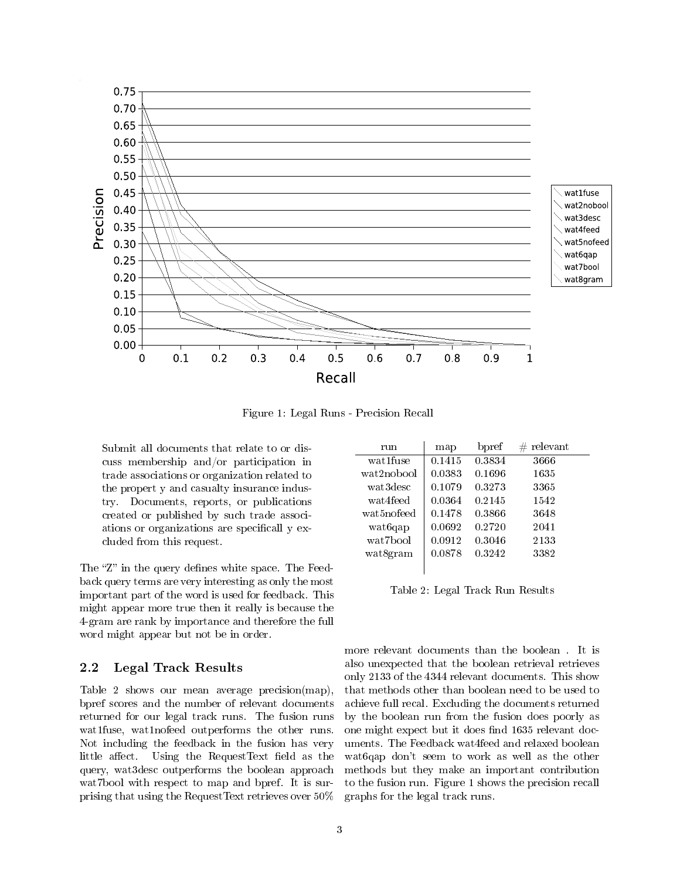

Figure 1: Legal Runs - Precision Recall

Submit all documents that relate to or discuss membership and/or participation in trade associations or organization related to the propert y and casualty insurance industry. Documents, reports, or publications created or published by such trade associations or organizations are specificall y excluded from this request.

The "Z" in the query defines white space. The Feedback query terms are very interesting as only the most important part of the word is used for feedback. This might appear more true then it really is because the 4-gram are rank by importance and therefore the full word might appear but not be in order.

### 2.2 Legal Track Results

Table 2 shows our mean average precision(map), bpref scores and the number of relevant documents returned for our legal track runs. The fusion runs wat1fuse, wat1nofeed outperforms the other runs. Not including the feedback in the fusion has very little affect. Using the RequestText field as the query, wat3desc outperforms the boolean approach wat7bool with respect to map and bpref. It is surprising that using the RequestText retrieves over 50%

| run        | map    | bpref  | $#$ relevant |
|------------|--------|--------|--------------|
| wat1fuse   | 0.1415 | 0.3834 | 3666         |
| wat2nobool | 0.0383 | 0.1696 | 1635         |
| wat3desc   | 0.1079 | 0.3273 | 3365         |
| wat4feed   | 0.0364 | 0.2145 | 1542         |
| wat5nofeed | 0.1478 | 0.3866 | 3648         |
| wat6qap    | 0.0692 | 0.2720 | 2041         |
| wat 7bool  | 0.0912 | 0.3046 | 2133         |
| wat8gram   | 0.0878 | 0.3242 | 3382         |
|            |        |        |              |

Table 2: Legal Track Run Results

more relevant documents than the boolean . It is also unexpected that the boolean retrieval retrieves only 2133 of the 4344 relevant documents. This show that methods other than boolean need to be used to achieve full recal. Excluding the documents returned by the boolean run from the fusion does poorly as one might expect but it does find 1635 relevant documents. The Feedback wat4feed and relaxed boolean wat6qap don't seem to work as well as the other methods but they make an important contribution to the fusion run. Figure 1 shows the precision recall graphs for the legal track runs.